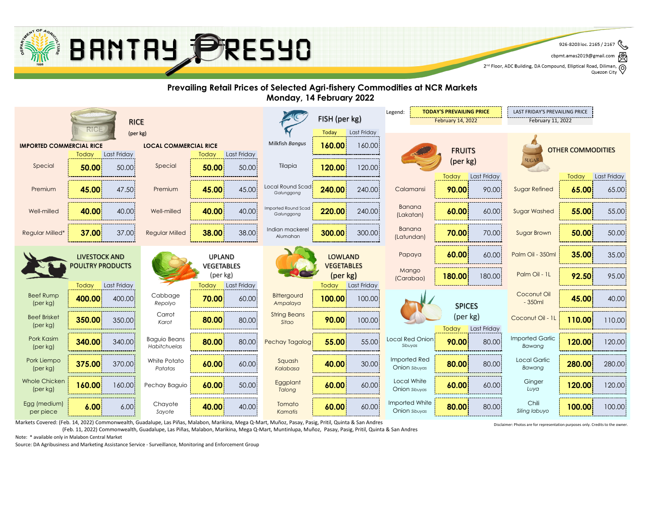Markets Covered: (Feb. 14, 2022) Commonwealth, Guadalupe, Las Piñas, Malabon, Marikina, Mega Q-Mart, Muñoz, Pasay, Pasig, Pritil, Quinta & San Andres

(Feb. 11, 2022) Commonwealth, Guadalupe, Las Piñas, Malabon, Marikina, Mega Q-Mart, Muntinlupa, Muñoz, Pasay, Pasig, Pritil, Quinta & San Andres

Source: DA Agribusiness and Marketing Assistance Service - Surveillance, Monitoring and Enforcement Group





#### **Prevailing Retail Prices of Selected Agri-fishery Commodities at NCR Markets Monday, 14 February 2022**

|                                                                 |                                  |             |                                     |                                 |                 |                                   |                                        | <b>TODAY'S PREVAILING PRICE</b><br>Legend: |                                 |                   | LAST FRIDAY'S PREVAILING PRICE |                                  |              |                    |
|-----------------------------------------------------------------|----------------------------------|-------------|-------------------------------------|---------------------------------|-----------------|-----------------------------------|----------------------------------------|--------------------------------------------|---------------------------------|-------------------|--------------------------------|----------------------------------|--------------|--------------------|
| <b>RICE</b>                                                     |                                  |             |                                     |                                 |                 | FISH (per kg)                     |                                        | <b>February 14, 2022</b>                   |                                 | February 11, 2022 |                                |                                  |              |                    |
| RICE<br>(per kg)                                                |                                  |             |                                     |                                 |                 | Today                             | Last Friday                            |                                            |                                 |                   |                                |                                  |              |                    |
| <b>LOCAL COMMERCIAL RICE</b><br><b>IMPORTED COMMERCIAL RICE</b> |                                  |             |                                     |                                 | Milkfish Bangus | 160.00                            | 160.00                                 |                                            |                                 |                   | <b>OTHER COMMODITIES</b>       |                                  |              |                    |
|                                                                 | Today                            | Last Friday |                                     | Today                           | Last Friday     |                                   |                                        |                                            |                                 | <b>FRUITS</b>     |                                | <b>SUGAF</b>                     |              |                    |
| Special                                                         | 50.00                            | 50.00       | Special                             | 50.00                           | 50.00           | Tilapia                           | 120.00                                 | 120.00                                     |                                 | (per kg)          |                                |                                  |              |                    |
|                                                                 |                                  |             |                                     |                                 |                 |                                   |                                        |                                            |                                 | Today             | Last Friday                    |                                  | <b>Today</b> | <b>Last Friday</b> |
| Premium                                                         | 45.00                            | 47.50       | Premium                             | 45.00                           | 45.00           | Local Round Scad<br>Galunggong    | 240.00                                 | 240.00                                     | Calamansi                       | 90.00             | 90.00                          | <b>Sugar Refined</b>             | 65.00        | 65.00              |
| Well-milled                                                     | 40.00                            | 40.00       | Well-milled                         | 40.00                           | 40.00           | Imported Round Scad<br>Galunggong | 220.00                                 | 240.00                                     | Banana<br>(Lakatan)             | 60.00             | 60.00                          | <b>Sugar Washed</b>              | 55.00        | 55.00              |
| <b>Regular Milled*</b>                                          | 37.00                            | 37.00       | <b>Regular Milled</b>               | 38.00                           | 38.00           | Indian mackerel<br>Alumahan       | 300.00                                 | 300.00                                     | <b>Banana</b><br>(Latundan)     | 70.00             | 70.00                          | <b>Sugar Brown</b>               | 50.00        | 50.00              |
|                                                                 | <b>LIVESTOCK AND</b>             |             |                                     | <b>UPLAND</b>                   |                 |                                   | <b>LOWLAND</b>                         |                                            | Papaya                          | 60.00             | 60.00                          | Palm Oil - 350ml                 | 35.00        | 35.00              |
|                                                                 | <b>POULTRY PRODUCTS</b><br>Today | Last Friday |                                     | VEGETABLES<br>(per kg)<br>Today | Last Friday     |                                   | <b>VEGETABLES</b><br>(per kg)<br>Today | <b>Last Friday</b>                         | Mango<br>(Carabao)              | 180.00            | 180.00                         | Palm Oil - 1L                    | 92.50        | 95.00              |
| <b>Beef Rump</b><br>(per kg)                                    | 400.00                           | 400.00      | Cabbage<br>Repolyo                  | 70.00                           | 60.00           | Bittergourd<br>Ampalaya           | 100.00                                 | 100.00                                     |                                 | <b>SPICES</b>     |                                | Coconut Oil<br>$-350ml$          | 45.00        | 40.00              |
| <b>Beef Brisket</b><br>(per kg)                                 | 350.00                           | 350.00      | Carrot<br>Karot                     | 80.00                           | 80.00           | <b>String Beans</b><br>Sitao      | 90.00                                  | 100.00                                     |                                 | (per kg)<br>Today | <b>Last Friday</b>             | Coconut Oil - 1L                 | 110.00       | 110.00             |
| Pork Kasim<br>(per kg)                                          | 340.00                           | 340.00      | <b>Baguio Beans</b><br>Habitchuelas | 80.00                           | 80.00           | Pechay Tagalog                    | 55.00                                  | 55.00                                      | Local Red Onion!<br>Sibuyas     | 90.00             | 80.00                          | <b>Imported Garlic</b><br>Bawang | 120.00       | 120.00             |
| Pork Liempo<br>[per kg]                                         | 375.00                           | 370.00      | White Potato<br>Patatas             | 60.00                           | 60.00           | Squash<br>Kalabasa                | 40.00                                  | 30.00                                      | Imported Red<br>Onion sibuyas   | 80.00             | 80.00                          | Local Garlic<br>Bawang           | 280.00       | 280.00             |
| <b>Whole Chicken</b><br>(per kg)                                | 160.00                           | 160.00      | Pechay Baguio                       | 60.00                           | 50.00           | Eggplant<br>Talong                | 60.00                                  | 60.00                                      | Local White<br>Onion sibuyas    | 60.00             | 60.00                          | Ginger<br>Luya                   | 120.00       | 120.00             |
| Egg (medium)<br>per piece                                       | 6.00                             | 6.00        | Chayote<br>Sayote                   | 40.00                           | 40.00           | Tomato<br>Kamatis                 | 60.00                                  | 60.00                                      | Imported White<br>Onion sibuyas | 80.00             | 80.00                          | Chili<br>Siling labuyo           | 100.00       | 100.00             |

Note: \* available only in Malabon Central Market

Disclaimer: Photos are for representation purposes only. Credits to the owner.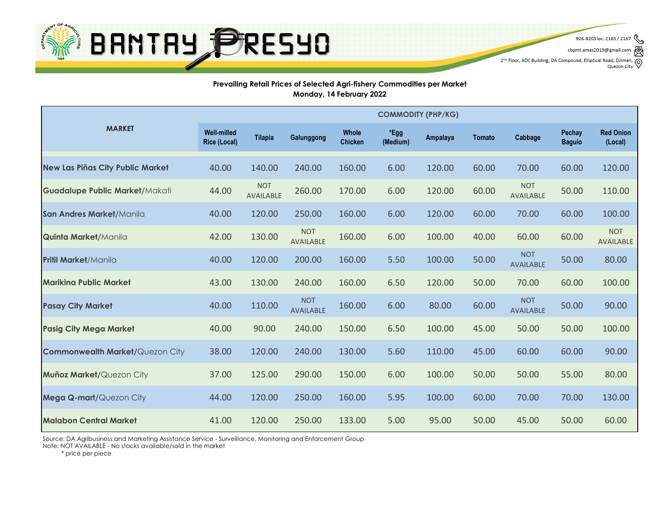

926-8203 loc. 2165 / 2167

cbpmt.amas2019@gmail.com 2<sup>nd</sup> Floor, ADC Building, DA Compound, Elliptical Road, Diliman, Q<br>Quezon City

Quezon City

#### **Prevailing Retail Prices of Selected Agri-fishery Commodities per Market Monday, 14 February 2022**

|                                        | <b>COMMODITY (PHP/KG)</b>                 |                                |                                |                                |                  |          |               |                                |                                |                                |  |  |
|----------------------------------------|-------------------------------------------|--------------------------------|--------------------------------|--------------------------------|------------------|----------|---------------|--------------------------------|--------------------------------|--------------------------------|--|--|
| <b>MARKET</b>                          | <b>Well-milled</b><br><b>Rice (Local)</b> | <b>Tilapia</b>                 | Galunggong                     | <b>Whole</b><br><b>Chicken</b> | *Egg<br>(Medium) | Ampalaya | <b>Tomato</b> | Cabbage                        | <b>Pechay</b><br><b>Baguio</b> | <b>Red Onion</b><br>(Local)    |  |  |
| New Las Piñas City Public Market       | 40.00                                     | 140.00                         | 240.00                         | 160.00                         | 6.00             | 120.00   | 60.00         | 70.00                          | 60.00                          | 120.00                         |  |  |
| <b>Guadalupe Public Market/Makati</b>  | 44.00                                     | <b>NOT</b><br><b>AVAILABLE</b> | 260.00                         | 170.00                         | 6.00             | 120.00   | 60.00         | <b>NOT</b><br><b>AVAILABLE</b> | 50.00                          | 110.00                         |  |  |
| San Andres Market/Manila               | 40.00                                     | 120.00                         | 250.00                         | 160.00                         | 6.00             | 120.00   | 60.00         | 70.00                          | 60.00                          | 100.00                         |  |  |
| <b>Quinta Market/Manila</b>            | 42.00                                     | 130.00                         | <b>NOT</b><br><b>AVAILABLE</b> | 160.00                         | 6.00             | 100.00   | 40.00         | 60.00                          | 60.00                          | <b>NOT</b><br><b>AVAILABLE</b> |  |  |
| <b>Pritil Market/Manila</b>            | 40.00                                     | 120.00                         | 200.00                         | 160.00                         | 5.50             | 100.00   | 50.00         | <b>NOT</b><br><b>AVAILABLE</b> | 50.00                          | 80.00                          |  |  |
| <b>Marikina Public Market</b>          | 43.00                                     | 130.00                         | 240.00                         | 160.00                         | 6.50             | 120.00   | 50.00         | 70.00                          | 60.00                          | 100.00                         |  |  |
| <b>Pasay City Market</b>               | 40.00                                     | 110.00                         | <b>NOT</b><br><b>AVAILABLE</b> | 160.00                         | 6.00             | 80.00    | 60.00         | <b>NOT</b><br><b>AVAILABLE</b> | 50.00                          | 90.00                          |  |  |
| <b>Pasig City Mega Market</b>          | 40.00                                     | 90.00                          | 240.00                         | 150.00                         | 6.50             | 100.00   | 45.00         | 50.00                          | 50.00                          | 100.00                         |  |  |
| <b>Commonwealth Market/Quezon City</b> | 38.00                                     | 120.00                         | 240.00                         | 130.00                         | 5.60             | 110.00   | 45.00         | 60.00                          | 60.00                          | 90.00                          |  |  |
| <b>Muñoz Market/Quezon City</b>        | 37.00                                     | 125.00                         | 290.00                         | 150.00                         | 6.00             | 100.00   | 50.00         | 50.00                          | 55.00                          | 80.00                          |  |  |
| <b>Mega Q-mart/Quezon City</b>         | 44.00                                     | 120.00                         | 250.00                         | 160.00                         | 5.95             | 100.00   | 60.00         | 70.00                          | 70.00                          | 130.00                         |  |  |
| <b>Malabon Central Market</b>          | 41.00                                     | 120.00                         | 250.00                         | 133.00                         | 5.00             | 95.00    | 50.00         | 45.00                          | 50.00                          | 60.00                          |  |  |

Source: DA Agribusiness and Marketing Assistance Service - Surveillance, Monitoring and Enforcement Group

Note: NOT AVAILABLE - No stocks available/sold in the market

\* price per piece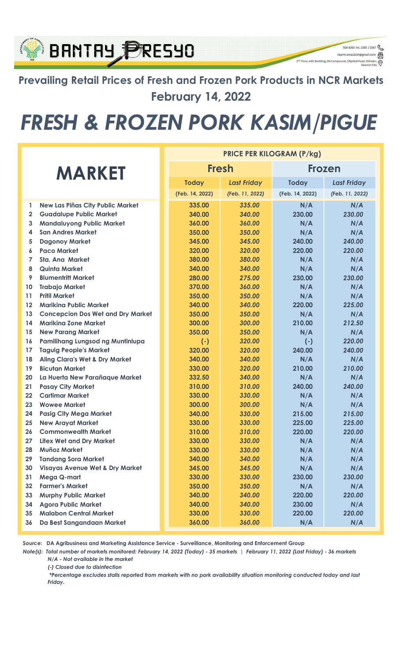#### **BANTAY PRESYO** 2<sup>nd</sup> Floor, ADC Building, DA Compound, Elliptical Road, Dilir Prevailing Retail Prices of Fresh and Frozen Pork Products in NCR Markets February 14, 2022

# FRESH & FROZEN PORK KASIM/PIGUE

926-8203 loc. 2165 / 2167 cbpmt.amas2019@gmail.com

 $\circledcirc$ 

| <b>MARKET</b>   |                                            |  | <b>PRICE PER KILOGRAM (P/kg)</b> |                    |                 |                    |  |  |  |  |
|-----------------|--------------------------------------------|--|----------------------------------|--------------------|-----------------|--------------------|--|--|--|--|
|                 |                                            |  | <b>Fresh</b>                     |                    | <b>Frozen</b>   |                    |  |  |  |  |
|                 |                                            |  | <b>Today</b>                     | <b>Last Friday</b> | <b>Today</b>    | <b>Last Friday</b> |  |  |  |  |
|                 |                                            |  | (Feb. 14, 2022)                  | (Feb. 11, 2022)    | (Feb. 14, 2022) | (Feb. 11, 2022)    |  |  |  |  |
| 1               | <b>New Las Piñas City Public Market</b>    |  | 335.00                           | 335.00             | N/A             | N/A                |  |  |  |  |
| $\overline{2}$  | <b>Guadalupe Public Market</b>             |  | 340.00                           | 340.00             | 230.00          | 230.00             |  |  |  |  |
| 3               | <b>Mandaluyong Public Market</b>           |  | 360.00                           | 360.00             | N/A             | N/A                |  |  |  |  |
| 4               | <b>San Andres Market</b>                   |  | 350.00                           | 350.00             | N/A             | N/A                |  |  |  |  |
| 5               | <b>Dagonoy Market</b>                      |  | 345.00                           | 345.00             | 240.00          | 240.00             |  |  |  |  |
| 6               | <b>Paco Market</b>                         |  | 320.00                           | 320.00             | 220.00          | 220.00             |  |  |  |  |
| 7               | <b>Sta. Ana Market</b>                     |  | 380.00                           | 380.00             | N/A             | N/A                |  |  |  |  |
| 8               | <b>Quinta Market</b>                       |  | 340.00                           | 340.00             | N/A             | N/A                |  |  |  |  |
| 9               | <b>Blumentritt Market</b>                  |  | 280.00                           | 275.00             | 230.00          | 230.00             |  |  |  |  |
| 10              | <b>Trabajo Market</b>                      |  | 370.00                           | 360.00             | N/A             | N/A                |  |  |  |  |
| 11              | <b>Pritil Market</b>                       |  | 350.00                           | 350.00             | N/A             | N/A                |  |  |  |  |
| 12              | <b>Mariking Public Market</b>              |  | 340.00                           | 340.00             | 220.00          | 225.00             |  |  |  |  |
| 13              | <b>Concepcion Dos Wet and Dry Market</b>   |  | 350.00                           | 350.00             | N/A             | N/A                |  |  |  |  |
| 14              | <b>Mariking Zone Market</b>                |  | 300.00                           | 300.00             | 210.00          | 212.50             |  |  |  |  |
| 15              | <b>New Parang Market</b>                   |  | 350.00                           | 350.00             | N/A             | N/A                |  |  |  |  |
| 16              | Pamilihang Lungsod ng Muntinlupa           |  | $(-)$                            | 320.00             | $(-)$           | 220.00             |  |  |  |  |
| 17              | <b>Taguig People's Market</b>              |  | 320.00                           | 320.00             | 240.00          | 240.00             |  |  |  |  |
| 18              | <b>Aling Clara's Wet &amp; Dry Market</b>  |  | 340.00                           | 340.00             | N/A             | N/A                |  |  |  |  |
| 19              | <b>Bicutan Market</b>                      |  | 330.00                           | 320.00             | 210.00          | 210.00             |  |  |  |  |
| 20              | La Huerta New Parañaque Market             |  | 332.50                           | 340.00             | N/A             | N/A                |  |  |  |  |
| 21              | <b>Pasay City Market</b>                   |  | 310.00                           | 310.00             | 240.00          | 240.00             |  |  |  |  |
| 22              | <b>Cartimar Market</b>                     |  | 330.00                           | 330.00             | N/A             | N/A                |  |  |  |  |
| 23              | <b>Wowee Market</b>                        |  | 300.00                           | 300.00             | N/A             | N/A                |  |  |  |  |
| 24              | <b>Pasig City Mega Market</b>              |  | 340.00                           | 330.00             | 215.00          | 215.00             |  |  |  |  |
| 25              | <b>New Arayat Market</b>                   |  | 330.00                           | 330.00             | 225.00          | 225.00             |  |  |  |  |
| 26              | <b>Commonwealth Market</b>                 |  | 310.00                           | 310.00             | 220.00          | 220.00             |  |  |  |  |
| 27              | <b>Litex Wet and Dry Market</b>            |  | 330.00                           | 330.00             | N/A             | N/A                |  |  |  |  |
| 28              | <b>Muñoz Market</b>                        |  | 330.00                           | 330.00             | N/A             | N/A                |  |  |  |  |
| 29              | <b>Tandang Sora Market</b>                 |  | 340.00                           | 340.00             | N/A             | N/A                |  |  |  |  |
| 30              | <b>Visayas Avenue Wet &amp; Dry Market</b> |  | 345.00                           | 345.00             | N/A             | N/A                |  |  |  |  |
| 31              | Mega Q-mart                                |  | 330.00                           | 330.00             | 230.00          | 230.00             |  |  |  |  |
| 32 <sub>2</sub> | <b>Farmer's Market</b>                     |  | 350.00                           | 350.00             | N/A             | N/A                |  |  |  |  |
| 33              | <b>Murphy Public Market</b>                |  | 340.00                           | 340.00             | 220.00          | 220.00             |  |  |  |  |
| 34              | <b>Agora Public Market</b>                 |  | 340.00                           | 340.00             | 230.00          | N/A                |  |  |  |  |
| 35              | <b>Malabon Central Market</b>              |  | 330.00                           | 330.00             | 220.00          | 220.00             |  |  |  |  |
| 36              | Da Best Sangandaan Market                  |  | 360.00                           | 360.00             | N/A             | N/A                |  |  |  |  |

Source: DA Agribusiness and Marketing Assistance Service - Surveillance, Monitoring and Enforcement Group

Note(s): Total number of markets monitored: February 14, 2022 (Today) - 35 markets | February 11, 2022 (Last Friday) - 36 markets N/A - Not available in the market

(-) Closed due to disinfection

 \*Percentage excludes stalls reported from markets with no pork availability situation monitoring conducted today and last Friday.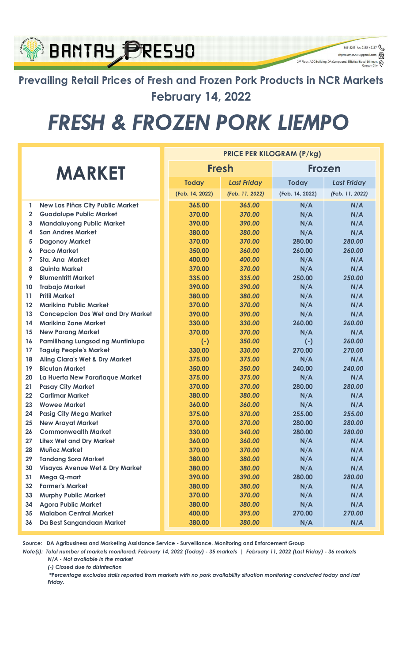### **BANTAY PRESYO**

Prevailing Retail Prices of Fresh and Frozen Pork Products in NCR Markets February 14, 2022

926-8203 loc. 2165 / 2167 cbpmt.amas2019@gmail.com

 $\circledcirc$ 

2<sup>nd</sup> Floor, ADC Building, DA Compound, Elliptical Road, Dili

# FRESH & FROZEN PORK LIEMPO

| <b>MARKET</b> |                                            |  | <b>PRICE PER KILOGRAM (P/kg)</b> |                    |                 |                    |  |  |  |  |
|---------------|--------------------------------------------|--|----------------------------------|--------------------|-----------------|--------------------|--|--|--|--|
|               |                                            |  |                                  | <b>Fresh</b>       | <b>Frozen</b>   |                    |  |  |  |  |
|               |                                            |  | <b>Today</b>                     | <b>Last Friday</b> | <b>Today</b>    | <b>Last Friday</b> |  |  |  |  |
|               |                                            |  | (Feb. 14, 2022)                  | (Feb. 11, 2022)    | (Feb. 14, 2022) | (Feb. 11, 2022)    |  |  |  |  |
| 1             | <b>New Las Piñas City Public Market</b>    |  | 365.00                           | 365.00             | N/A             | N/A                |  |  |  |  |
| $\mathbf{2}$  | <b>Guadalupe Public Market</b>             |  | 370.00                           | 370.00             | N/A             | N/A                |  |  |  |  |
| 3             | <b>Mandaluyong Public Market</b>           |  | 390.00                           | 390.00             | N/A             | N/A                |  |  |  |  |
| 4             | <b>San Andres Market</b>                   |  | 380.00                           | 380.00             | N/A             | N/A                |  |  |  |  |
| 5             | <b>Dagonoy Market</b>                      |  | 370.00                           | 370.00             | 280.00          | 280.00             |  |  |  |  |
| 6             | <b>Paco Market</b>                         |  | 350.00                           | 360.00             | 260.00          | 260.00             |  |  |  |  |
| 7             | <b>Sta. Ana Market</b>                     |  | 400.00                           | 400.00             | N/A             | N/A                |  |  |  |  |
| 8             | <b>Quinta Market</b>                       |  | 370.00                           | 370.00             | N/A             | N/A                |  |  |  |  |
| 9             | <b>Blumentritt Market</b>                  |  | 335.00                           | 335.00             | 250.00          | 250.00             |  |  |  |  |
| 10            | <b>Trabajo Market</b>                      |  | 390.00                           | 390.00             | N/A             | N/A                |  |  |  |  |
| 11            | <b>Pritil Market</b>                       |  | 380.00                           | 380.00             | N/A             | N/A                |  |  |  |  |
| 12            | <b>Marikina Public Market</b>              |  | 370.00                           | 370.00             | N/A             | N/A                |  |  |  |  |
| 13            | <b>Concepcion Dos Wet and Dry Market</b>   |  | 390.00                           | 390.00             | N/A             | N/A                |  |  |  |  |
| 14            | <b>Marikina Zone Market</b>                |  | 330.00                           | 330.00             | 260.00          | 260.00             |  |  |  |  |
| 15            | <b>New Parang Market</b>                   |  | 370.00                           | 370.00             | N/A             | N/A                |  |  |  |  |
| 16            | Pamilihang Lungsod ng Muntinlupa           |  | $(-)$                            | 350.00             | $(-)$           | 260.00             |  |  |  |  |
| 17            | <b>Taguig People's Market</b>              |  | 330.00                           | 330.00             | 270.00          | 270.00             |  |  |  |  |
| 18            | Aling Clara's Wet & Dry Market             |  | 375.00                           | 375.00             | N/A             | N/A                |  |  |  |  |
| 19            | <b>Bicutan Market</b>                      |  | 350.00                           | 350.00             | 240.00          | 240.00             |  |  |  |  |
| 20            | La Huerta New Parañaque Market             |  | 375.00                           | 375.00             | N/A             | N/A                |  |  |  |  |
| 21            | <b>Pasay City Market</b>                   |  | 370.00                           | 370.00             | 280.00          | 280.00             |  |  |  |  |
| 22            | <b>Cartimar Market</b>                     |  | 380.00                           | 380.00             | N/A             | N/A                |  |  |  |  |
| 23            | <b>Wowee Market</b>                        |  | 360.00                           | 360.00             | N/A             | N/A                |  |  |  |  |
| 24            | <b>Pasig City Mega Market</b>              |  | 375.00                           | 370.00             | 255.00          | 255.00             |  |  |  |  |
| 25            | <b>New Arayat Market</b>                   |  | 370.00                           | 370.00             | 280.00          | 280.00             |  |  |  |  |
| 26            | <b>Commonwealth Market</b>                 |  | 330.00                           | 340.00             | 280.00          | 280.00             |  |  |  |  |
| 27            | <b>Litex Wet and Dry Market</b>            |  | 360.00                           | 360.00             | N/A             | N/A                |  |  |  |  |
| 28            | Muñoz Market                               |  | 370.00                           | 370.00             | N/A             | N/A                |  |  |  |  |
| 29            | <b>Tandang Sora Market</b>                 |  | 380.00                           | 380.00             | N/A             | N/A                |  |  |  |  |
| 30            | <b>Visayas Avenue Wet &amp; Dry Market</b> |  | 380.00                           | 380.00             | N/A             | N/A                |  |  |  |  |
| 31            | Mega Q-mart                                |  | 390.00                           | 390.00             | 280.00          | 280.00             |  |  |  |  |
| 32            | <b>Farmer's Market</b>                     |  | 380.00                           | 380.00             | N/A             | N/A                |  |  |  |  |
| 33            | <b>Murphy Public Market</b>                |  | 370.00                           | 370.00             | N/A             | N/A                |  |  |  |  |
| 34            | <b>Agora Public Market</b>                 |  | 380.00                           | 380.00             | N/A             | N/A                |  |  |  |  |
| 35            | <b>Malabon Central Market</b>              |  | 400.00                           | 395.00             | 270.00          | 270.00             |  |  |  |  |
| 36            | Da Best Sangandaan Market                  |  | 380.00                           | 380.00             | N/A             | N/A                |  |  |  |  |

Source: DA Agribusiness and Marketing Assistance Service - Surveillance, Monitoring and Enforcement Group

Note(s): Total number of markets monitored: February 14, 2022 (Today) - 35 markets | February 11, 2022 (Last Friday) - 36 markets N/A - Not available in the market

(-) Closed due to disinfection

 \*Percentage excludes stalls reported from markets with no pork availability situation monitoring conducted today and last Friday.